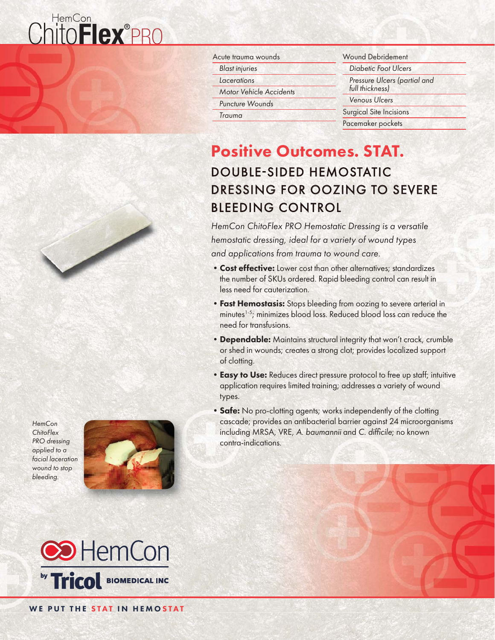## ChitoFlex®PRO



**HemCon ChitoFlex** PRO dressing applied to a facial laceration wound to stop bleeding.





Wound Debridement Diabetic Foot Ulcers Pressure Ulcers (partial and full thickness) Venous Ulcers Surgical Site Incisions Pacemaker pockets

### Positive Outcomes. STAT.

### DOUBLE-SIDED HEMOSTATIC DRESSING FOR OOZING TO SEVERE **BLEEDING CONTROL**

HemCon ChitoFlex PRO Hemostatic Dressing is a versatile hemostatic dressing, ideal for a variety of wound types and applications from trauma to wound care.

- Cost effective: Lower cost than other alternatives; standardizes the number of SKUs ordered. Rapid bleeding control can result in less need for cauterization.
- Fast Hemostasis: Stops bleeding from oozing to severe arterial in minutes<sup>1-5</sup>; minimizes blood loss. Reduced blood loss can reduce the need for transfusions.
- Dependable: Maintains structural integrity that won't crack, crumble or shed in wounds; creates a strong clot; provides localized support of clotting.
- Easy to Use: Reduces direct pressure protocol to free up staff; intuitive application requires limited training; addresses a variety of wound types.
- Safe: No pro-clotting agents; works independently of the clotting cascade; provides an antibacterial barrier against 24 microorganisms including MRSA, VRE, A. baumannii and C. difficile; no known contra-indications.